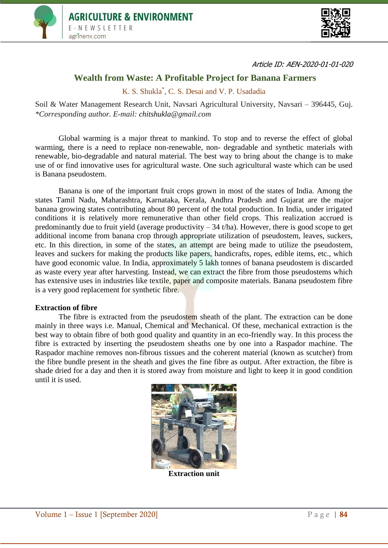



Article ID: AEN-2020-01-01-020

## **Wealth from Waste: A Profitable Project for Banana Farmers**

K. S. Shukla\* , C. S. Desai and V. P. Usadadia

Soil & Water Management Research Unit, Navsari Agricultural University, Navsari – 396445, Guj. *\*Corresponding author. E-mail: chitshukla@gmail.com*

Global warming is a major threat to mankind. To stop and to reverse the effect of global warming, there is a need to replace non-renewable, non- degradable and synthetic materials with renewable, bio-degradable and natural material. The best way to bring about the change is to make use of or find innovative uses for agricultural waste. One such agricultural waste which can be used is Banana pseudostem.

Banana is one of the important fruit crops grown in most of the states of India. Among the states Tamil Nadu, Maharashtra, Karnataka, Kerala, Andhra Pradesh and Gujarat are the major banana growing states contributing about 80 percent of the total production. In India, under irrigated conditions it is relatively more remunerative than other field crops. This realization accrued is predominantly due to fruit yield (average productivity  $-34$  t/ha). However, there is good scope to get additional income from banana crop through appropriate utilization of pseudostem, leaves, suckers, etc. In this direction, in some of the states, an attempt are being made to utilize the pseudostem, leaves and suckers for making the products like papers, handicrafts, ropes, edible items, etc., which have good economic value. In India, approximately 5 lakh tonnes of banana pseudostem is discarded as waste every year after harvesting. Instead, we can extract the fibre from those pseudostems which has extensive uses in industries like textile, paper and composite materials. Banana pseudostem fibre is a very good replacement for synthetic fibre.

## **Extraction of fibre**

The fibre is extracted from the pseudostem sheath of the plant. The extraction can be done mainly in three ways i.e. Manual, Chemical and Mechanical. Of these, mechanical extraction is the best way to obtain fibre of both good quality and quantity in an eco-friendly way. In this process the fibre is extracted by inserting the pseudostem sheaths one by one into a Raspador machine. The Raspador machine removes non-fibrous tissues and the coherent material (known as scutcher) from the fibre bundle present in the sheath and gives the fine fibre as output. After extraction, the fibre is shade dried for a day and then it is stored away from moisture and light to keep it in good condition until it is used.



**Extraction unit**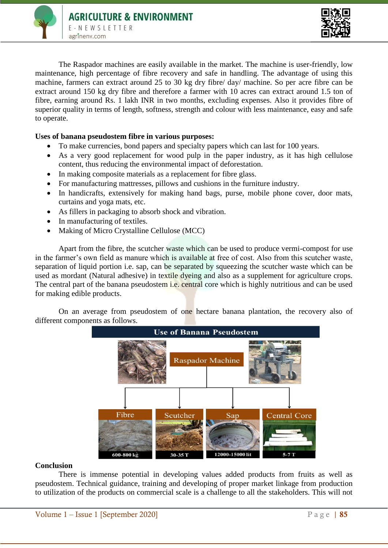



The Raspador machines are easily available in the market. The machine is user-friendly, low maintenance, high percentage of fibre recovery and safe in handling. The advantage of using this machine, farmers can extract around 25 to 30 kg dry fibre/ day/ machine. So per acre fibre can be extract around 150 kg dry fibre and therefore a farmer with 10 acres can extract around 1.5 ton of fibre, earning around Rs. 1 lakh INR in two months, excluding expenses. Also it provides fibre of superior quality in terms of length, softness, strength and colour with less maintenance, easy and safe to operate.

## **Uses of banana pseudostem fibre in various purposes:**

- To make currencies, bond papers and specialty papers which can last for 100 years.
- As a very good replacement for wood pulp in the paper industry, as it has high cellulose content, thus reducing the environmental impact of deforestation.
- In making composite materials as a replacement for fibre glass.
- For manufacturing mattresses, pillows and cushions in the furniture industry.
- In handicrafts, extensively for making hand bags, purse, mobile phone cover, door mats, curtains and yoga mats, etc.
- As fillers in packaging to absorb shock and vibration.
- In manufacturing of textiles.
- Making of Micro Crystalline Cellulose (MCC)

Apart from the fibre, the scutcher waste which can be used to produce vermi-compost for use in the farmer's own field as manure which is available at free of cost. Also from this scutcher waste, separation of liquid portion i.e. sap, can be separated by squeezing the scutcher waste which can be used as mordant (Natural adhesive) in textile dyeing and also as a supplement for agriculture crops. The central part of the banana pseudostem i.e. central core which is highly nutritious and can be used for making edible products.

On an average from pseudostem of one hectare banana plantation, the recovery also of different components as follows.



## **Conclusion**

There is immense potential in developing values added products from fruits as well as pseudostem. Technical guidance, training and developing of proper market linkage from production to utilization of the products on commercial scale is a challenge to all the stakeholders. This will not